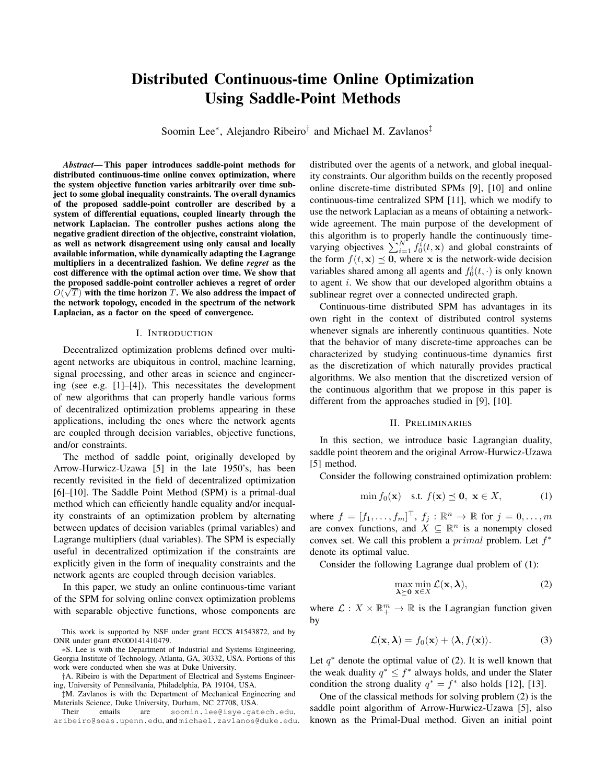# Distributed Continuous-time Online Optimization Using Saddle-Point Methods

Soomin Lee<sup>∗</sup>, Alejandro Ribeiro<sup>†</sup> and Michael M. Zavlanos<sup>‡</sup>

*Abstract*— This paper introduces saddle-point methods for distributed continuous-time online convex optimization, where the system objective function varies arbitrarily over time subject to some global inequality constraints. The overall dynamics of the proposed saddle-point controller are described by a system of differential equations, coupled linearly through the network Laplacian. The controller pushes actions along the negative gradient direction of the objective, constraint violation, as well as network disagreement using only causal and locally available information, while dynamically adapting the Lagrange multipliers in a decentralized fashion. We define *regret* as the cost difference with the optimal action over time. We show that the proposed saddle-point controller achieves a regret of order  $O(\sqrt{T})$  with the time horizon  $T$ . We also address the impact of the network topology, encoded in the spectrum of the network Laplacian, as a factor on the speed of convergence.

#### I. INTRODUCTION

Decentralized optimization problems defined over multiagent networks are ubiquitous in control, machine learning, signal processing, and other areas in science and engineering (see e.g. [1]–[4]). This necessitates the development of new algorithms that can properly handle various forms of decentralized optimization problems appearing in these applications, including the ones where the network agents are coupled through decision variables, objective functions, and/or constraints.

The method of saddle point, originally developed by Arrow-Hurwicz-Uzawa [5] in the late 1950's, has been recently revisited in the field of decentralized optimization [6]–[10]. The Saddle Point Method (SPM) is a primal-dual method which can efficiently handle equality and/or inequality constraints of an optimization problem by alternating between updates of decision variables (primal variables) and Lagrange multipliers (dual variables). The SPM is especially useful in decentralized optimization if the constraints are explicitly given in the form of inequality constraints and the network agents are coupled through decision variables.

In this paper, we study an online continuous-time variant of the SPM for solving online convex optimization problems with separable objective functions, whose components are

∗S. Lee is with the Department of Industrial and Systems Engineering, Georgia Institute of Technology, Atlanta, GA, 30332, USA. Portions of this work were conducted when she was at Duke University.

†A. Ribeiro is with the Department of Electrical and Systems Engineering, University of Pennsilvania, Philadelphia, PA 19104, USA.

‡M. Zavlanos is with the Department of Mechanical Engineering and Materials Science, Duke University, Durham, NC 27708, USA.<br>Their emails are soomin.lee@isye.gat

soomin.lee@isye.gatech.edu, aribeiro@seas.upenn.edu, and michael.zavlanos@duke.edu. distributed over the agents of a network, and global inequality constraints. Our algorithm builds on the recently proposed online discrete-time distributed SPMs [9], [10] and online continuous-time centralized SPM [11], which we modify to use the network Laplacian as a means of obtaining a networkwide agreement. The main purpose of the development of this algorithm is to properly handle the continuously timevarying objectives  $\sum_{i=1}^{N} f_0^i(t, \mathbf{x})$  and global constraints of the form  $f(t, \mathbf{x}) \preceq \mathbf{0}$ , where x is the network-wide decision variables shared among all agents and  $f_0^i(t, \cdot)$  is only known to agent  $i$ . We show that our developed algorithm obtains a sublinear regret over a connected undirected graph.

Continuous-time distributed SPM has advantages in its own right in the context of distributed control systems whenever signals are inherently continuous quantities. Note that the behavior of many discrete-time approaches can be characterized by studying continuous-time dynamics first as the discretization of which naturally provides practical algorithms. We also mention that the discretized version of the continuous algorithm that we propose in this paper is different from the approaches studied in [9], [10].

#### II. PRELIMINARIES

In this section, we introduce basic Lagrangian duality, saddle point theorem and the original Arrow-Hurwicz-Uzawa [5] method.

Consider the following constrained optimization problem:

$$
\min f_0(\mathbf{x}) \quad \text{s.t. } f(\mathbf{x}) \preceq \mathbf{0}, \ \mathbf{x} \in X,\tag{1}
$$

where  $f = [f_1, \ldots, f_m]^\top$ ,  $f_j : \mathbb{R}^n \to \mathbb{R}$  for  $j = 0, \ldots, m$ are convex functions, and  $\hat{X} \subseteq \mathbb{R}^n$  is a nonempty closed convex set. We call this problem a  $primal$  problem. Let  $f^*$ denote its optimal value.

Consider the following Lagrange dual problem of (1):

$$
\max_{\lambda \succeq 0} \min_{\mathbf{x} \in X} \mathcal{L}(\mathbf{x}, \lambda),\tag{2}
$$

where  $\mathcal{L}: X \times \mathbb{R}^m_+ \to \mathbb{R}$  is the Lagrangian function given by

$$
\mathcal{L}(\mathbf{x}, \lambda) = f_0(\mathbf{x}) + \langle \lambda, f(\mathbf{x}) \rangle.
$$
 (3)

Let  $q^*$  denote the optimal value of (2). It is well known that the weak duality  $q^* \leq f^*$  always holds, and under the Slater condition the strong duality  $q^* = f^*$  also holds [12], [13].

One of the classical methods for solving problem (2) is the saddle point algorithm of Arrow-Hurwicz-Uzawa [5], also known as the Primal-Dual method. Given an initial point

This work is supported by NSF under grant ECCS #1543872, and by ONR under grant #N000141410479.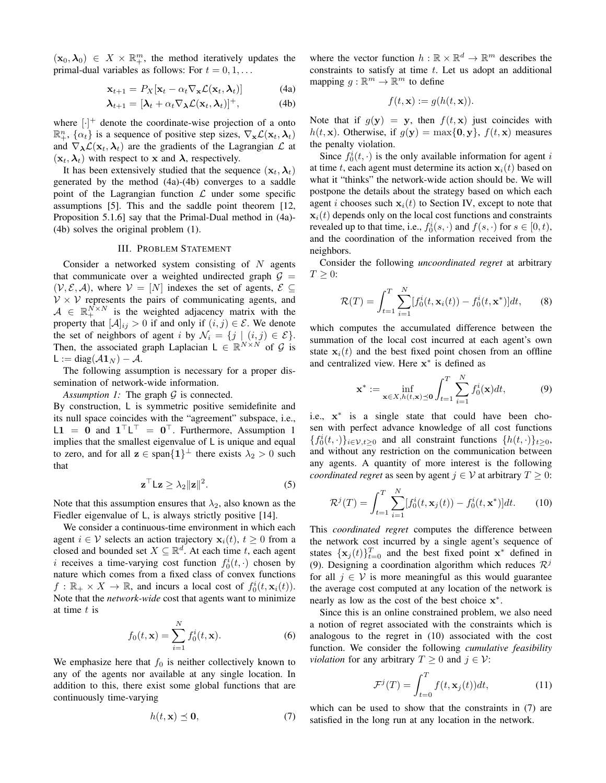$(\mathbf{x}_0, \lambda_0) \in X \times \mathbb{R}^m_+$ , the method iteratively updates the primal-dual variables as follows: For  $t = 0, 1, \ldots$ 

$$
\mathbf{x}_{t+1} = P_X[\mathbf{x}_t - \alpha_t \nabla_{\mathbf{x}} \mathcal{L}(\mathbf{x}_t, \boldsymbol{\lambda}_t)] \tag{4a}
$$

$$
\boldsymbol{\lambda}_{t+1} = [\boldsymbol{\lambda}_t + \alpha_t \nabla_{\boldsymbol{\lambda}} \mathcal{L}(\mathbf{x}_t, \boldsymbol{\lambda}_t)]^+, \tag{4b}
$$

where  $[\cdot]^{+}$  denote the coordinate-wise projection of a onto  $\mathbb{R}^n_+$ ,  $\{\alpha_t\}$  is a sequence of positive step sizes,  $\nabla_{\mathbf{x}} \mathcal{L}(\mathbf{x}_t, \lambda_t)$ and  $\nabla_{\lambda} \mathcal{L}(\mathbf{x}_t, \lambda_t)$  are the gradients of the Lagrangian  $\mathcal{L}$  at  $(\mathbf{x}_t, \lambda_t)$  with respect to x and  $\lambda$ , respectively.

It has been extensively studied that the sequence  $(\mathbf{x}_t, \boldsymbol{\lambda}_t)$ generated by the method (4a)-(4b) converges to a saddle point of the Lagrangian function  $\mathcal L$  under some specific assumptions [5]. This and the saddle point theorem [12, Proposition 5.1.6] say that the Primal-Dual method in (4a)- (4b) solves the original problem (1).

#### III. PROBLEM STATEMENT

Consider a networked system consisting of  $N$  agents that communicate over a weighted undirected graph  $G =$  $(V, \mathcal{E}, \mathcal{A})$ , where  $V = [N]$  indexes the set of agents,  $\mathcal{E} \subseteq$  $V \times V$  represents the pairs of communicating agents, and  $A \in \mathbb{R}_+^{N \times N}$  is the weighted adjacency matrix with the property that  $[\mathcal{A}]_{ij} > 0$  if and only if  $(i, j) \in \mathcal{E}$ . We denote the set of neighbors of agent i by  $\mathcal{N}_i = \{j \mid (i,j) \in \mathcal{E}\}.$ Then, the associated graph Laplacian  $L \in \mathbb{R}^{N \times N}$  of G is L := diag $(A1_N) - A$ .

The following assumption is necessary for a proper dissemination of network-wide information.

*Assumption 1:* The graph  $G$  is connected.

By construction, L is symmetric positive semidefinite and its null space coincides with the "agreement" subspace, i.e.,  $L1 = 0$  and  $1^{\top}L^{\top} = 0^{\top}$ . Furthermore, Assumption 1 implies that the smallest eigenvalue of L is unique and equal to zero, and for all  $z \in \text{span}\{1\}^{\perp}$  there exists  $\lambda_2 > 0$  such that

$$
\mathbf{z}^{\top} \mathsf{L} \mathbf{z} \ge \lambda_2 \|\mathbf{z}\|^2. \tag{5}
$$

Note that this assumption ensures that  $\lambda_2$ , also known as the Fiedler eigenvalue of L, is always strictly positive [14].

We consider a continuous-time environment in which each agent  $i \in V$  selects an action trajectory  $\mathbf{x}_i(t)$ ,  $t \geq 0$  from a closed and bounded set  $X \subseteq \mathbb{R}^d$ . At each time t, each agent i receives a time-varying cost function  $f_0^i(t, \cdot)$  chosen by nature which comes from a fixed class of convex functions  $f: \mathbb{R}_+ \times X \to \mathbb{R}$ , and incurs a local cost of  $f_0^i(t, \mathbf{x}_i(t))$ . Note that the *network-wide* cost that agents want to minimize at time  $t$  is

$$
f_0(t, \mathbf{x}) = \sum_{i=1}^{N} f_0^i(t, \mathbf{x}).
$$
 (6)

We emphasize here that  $f_0$  is neither collectively known to any of the agents nor available at any single location. In addition to this, there exist some global functions that are continuously time-varying

$$
h(t, \mathbf{x}) \preceq \mathbf{0},\tag{7}
$$

where the vector function  $h : \mathbb{R} \times \mathbb{R}^d \to \mathbb{R}^m$  describes the constraints to satisfy at time  $t$ . Let us adopt an additional mapping  $g : \mathbb{R}^m \to \mathbb{R}^m$  to define

$$
f(t, \mathbf{x}) := g(h(t, \mathbf{x})).
$$

Note that if  $g(y) = y$ , then  $f(t, x)$  just coincides with  $h(t, \mathbf{x})$ . Otherwise, if  $g(\mathbf{y}) = \max\{0, \mathbf{y}\}, f(t, \mathbf{x})$  measures the penalty violation.

Since  $f_0^i(t, \cdot)$  is the only available information for agent i at time t, each agent must determine its action  $x_i(t)$  based on what it "thinks" the network-wide action should be. We will postpone the details about the strategy based on which each agent i chooses such  $x_i(t)$  to Section IV, except to note that  $x_i(t)$  depends only on the local cost functions and constraints revealed up to that time, i.e.,  $f_0^i(s, \cdot)$  and  $f(s, \cdot)$  for  $s \in [0, t)$ , and the coordination of the information received from the neighbors.

Consider the following *uncoordinated regret* at arbitrary  $T \geq 0$ :

$$
\mathcal{R}(T) = \int_{t=1}^{T} \sum_{i=1}^{N} [f_0^i(t, \mathbf{x}_i(t)) - f_0^i(t, \mathbf{x}^*)] dt,
$$
 (8)

which computes the accumulated difference between the summation of the local cost incurred at each agent's own state  $x_i(t)$  and the best fixed point chosen from an offline and centralized view. Here x<sup>\*</sup> is defined as

$$
\mathbf{x}^* := \inf_{\mathbf{x} \in X, h(t, \mathbf{x}) \preceq \mathbf{0}} \int_{t=1}^T \sum_{i=1}^N f_0^i(\mathbf{x}) dt, \tag{9}
$$

i.e., x ∗ is a single state that could have been chosen with perfect advance knowledge of all cost functions  ${f_0^i(t, \cdot)}_{i \in \mathcal{V}, t \geq 0}$  and all constraint functions  ${h(t, \cdot)}_{t \geq 0}$ , and without any restriction on the communication between any agents. A quantity of more interest is the following *coordinated regret* as seen by agent  $j \in V$  at arbitrary  $T \geq 0$ :

$$
\mathcal{R}^j(T) = \int_{t=1}^T \sum_{i=1}^N [f_0^i(t, \mathbf{x}_j(t)) - f_0^i(t, \mathbf{x}^*)] dt.
$$
 (10)

This *coordinated regret* computes the difference between the network cost incurred by a single agent's sequence of states  $\{x_j(t)\}_{t=0}^T$  and the best fixed point  $x^*$  defined in (9). Designing a coordination algorithm which reduces  $\mathcal{R}^j$ for all  $j \in V$  is more meaningful as this would guarantee the average cost computed at any location of the network is nearly as low as the cost of the best choice  $x^*$ .

Since this is an online constrained problem, we also need a notion of regret associated with the constraints which is analogous to the regret in (10) associated with the cost function. We consider the following *cumulative feasibility violation* for any arbitrary  $T > 0$  and  $j \in \mathcal{V}$ :

$$
\mathcal{F}^j(T) = \int_{t=0}^T f(t, \mathbf{x}_j(t))dt,
$$
\n(11)

which can be used to show that the constraints in (7) are satisfied in the long run at any location in the network.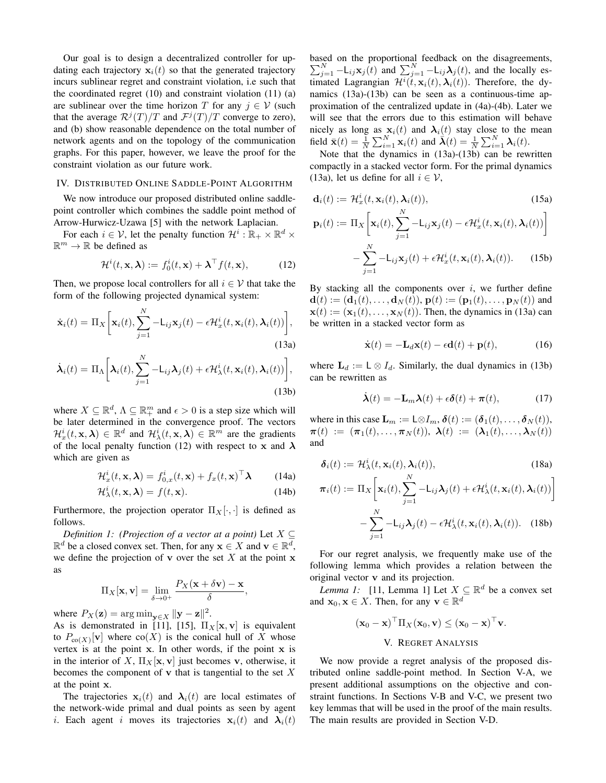Our goal is to design a decentralized controller for updating each trajectory  $x_i(t)$  so that the generated trajectory incurs sublinear regret and constraint violation, i.e such that the coordinated regret  $(10)$  and constraint violation  $(11)$   $(a)$ are sublinear over the time horizon T for any  $j \in V$  (such that the average  $\mathcal{R}^j(T)/T$  and  $\mathcal{F}^j(T)/T$  converge to zero), and (b) show reasonable dependence on the total number of network agents and on the topology of the communication graphs. For this paper, however, we leave the proof for the constraint violation as our future work.

## IV. DISTRIBUTED ONLINE SADDLE-POINT ALGORITHM

We now introduce our proposed distributed online saddlepoint controller which combines the saddle point method of Arrow-Hurwicz-Uzawa [5] with the network Laplacian.

For each  $i \in \mathcal{V}$ , let the penalty function  $\mathcal{H}^i : \mathbb{R}_+ \times \mathbb{R}^d \times$  $\mathbb{R}^m \to \mathbb{R}$  be defined as

$$
\mathcal{H}^i(t, \mathbf{x}, \boldsymbol{\lambda}) := f_0^i(t, \mathbf{x}) + \boldsymbol{\lambda}^\top f(t, \mathbf{x}), \tag{12}
$$

Then, we propose local controllers for all  $i \in V$  that take the form of the following projected dynamical system:

$$
\dot{\mathbf{x}}_i(t) = \Pi_X \bigg[ \mathbf{x}_i(t), \sum_{j=1}^N -L_{ij} \mathbf{x}_j(t) - \epsilon \mathcal{H}_x^i(t, \mathbf{x}_i(t), \lambda_i(t)) \bigg],
$$
\n(13a)

$$
\dot{\boldsymbol{\lambda}}_i(t) = \Pi_{\Lambda} \bigg[ \boldsymbol{\lambda}_i(t), \sum_{j=1}^N -L_{ij} \boldsymbol{\lambda}_j(t) + \epsilon \mathcal{H}_{\lambda}^i(t, \mathbf{x}_i(t), \boldsymbol{\lambda}_i(t)) \bigg],
$$
\n(13b)

where  $X \subseteq \mathbb{R}^d$ ,  $\Lambda \subseteq \mathbb{R}^m_+$  and  $\epsilon > 0$  is a step size which will be later determined in the convergence proof. The vectors  $\mathcal{H}^{i}_{x}(t,\mathbf{x},\boldsymbol{\lambda}) \in \mathbb{R}^{d}$  and  $\mathcal{H}^{i}_{\lambda}(t,\mathbf{x},\boldsymbol{\lambda}) \in \mathbb{R}^{m}$  are the gradients of the local penalty function (12) with respect to x and  $\lambda$ which are given as

$$
\mathcal{H}_x^i(t, \mathbf{x}, \boldsymbol{\lambda}) = f_{0,x}^i(t, \mathbf{x}) + f_x(t, \mathbf{x})^\top \boldsymbol{\lambda}
$$
 (14a)

$$
\mathcal{H}^i_{\lambda}(t, \mathbf{x}, \lambda) = f(t, \mathbf{x}). \tag{14b}
$$

Furthermore, the projection operator  $\Pi_X[\cdot, \cdot]$  is defined as follows.

*Definition 1: (Projection of a vector at a point)* Let X ⊆  $\mathbb{R}^d$  be a closed convex set. Then, for any  $\mathbf{x} \in X$  and  $\mathbf{v} \in \mathbb{R}^d$ , we define the projection of **v** over the set  $X$  at the point **x** as

$$
\Pi_X[\mathbf{x}, \mathbf{v}] = \lim_{\delta \to 0^+} \frac{P_X(\mathbf{x} + \delta \mathbf{v}) - \mathbf{x}}{\delta},
$$

where  $P_X(\mathbf{z}) = \arg \min_{\mathbf{y} \in X} ||\mathbf{y} - \mathbf{z}||^2$ .

As is demonstrated in [11], [15],  $\Pi_X[\mathbf{x}, \mathbf{v}]$  is equivalent to  $P_{\text{co}(X)}[\mathbf{v}]$  where  $\text{co}(X)$  is the conical hull of X whose vertex is at the point  $x$ . In other words, if the point  $x$  is in the interior of X,  $\Pi_X[\mathbf{x}, \mathbf{v}]$  just becomes v, otherwise, it becomes the component of  $\bf{v}$  that is tangential to the set  $X$ at the point x.

The trajectories  $x_i(t)$  and  $\lambda_i(t)$  are local estimates of the network-wide primal and dual points as seen by agent i. Each agent i moves its trajectories  $x_i(t)$  and  $\lambda_i(t)$ 

based on the proportional feedback on the disagreements,  $\sum_{j=1}^{N}$  -L<sub>ij</sub>**x**<sub>j</sub>(t) and  $\sum_{j=1}^{N}$  -L<sub>ij</sub> $\lambda$ <sub>j</sub>(t), and the locally estimated Lagrangian  $\mathcal{H}^{i}(\tilde{t}, \mathbf{x}_{i}(t), \boldsymbol{\lambda}_{i}(t))$ . Therefore, the dynamics (13a)-(13b) can be seen as a continuous-time approximation of the centralized update in (4a)-(4b). Later we will see that the errors due to this estimation will behave nicely as long as  $x_i(t)$  and  $\lambda_i(t)$  stay close to the mean field  $\bar{\mathbf{x}}(t) = \frac{1}{N} \sum_{i=1}^{N} \mathbf{x}_i(t)$  and  $\bar{\boldsymbol{\lambda}}(t) = \frac{1}{N} \sum_{i=1}^{N} \boldsymbol{\lambda}_i(t)$ .

Note that the dynamics in (13a)-(13b) can be rewritten compactly in a stacked vector form. For the primal dynamics (13a), let us define for all  $i \in \mathcal{V}$ ,

$$
\mathbf{d}_i(t) := \mathcal{H}_x^i(t, \mathbf{x}_i(t), \lambda_i(t)),\tag{15a}
$$

$$
\mathbf{p}_i(t) := \Pi_X \bigg[ \mathbf{x}_i(t), \sum_{j=1}^N -\mathsf{L}_{ij} \mathbf{x}_j(t) - \epsilon \mathcal{H}_x^i(t, \mathbf{x}_i(t), \boldsymbol{\lambda}_i(t)) \bigg]
$$

$$
- \sum_{j=1}^N -\mathsf{L}_{ij} \mathbf{x}_j(t) + \epsilon \mathcal{H}_x^i(t, \mathbf{x}_i(t), \boldsymbol{\lambda}_i(t)). \tag{15b}
$$

By stacking all the components over  $i$ , we further define  $\mathbf{d}(t) := (\mathbf{d}_1(t), \dots, \mathbf{d}_N(t)), \mathbf{p}(t) := (\mathbf{p}_1(t), \dots, \mathbf{p}_N(t))$  and  $\mathbf{x}(t) := (\mathbf{x}_1(t), \dots, \mathbf{x}_N(t))$ . Then, the dynamics in (13a) can be written in a stacked vector form as

$$
\dot{\mathbf{x}}(t) = -\mathbf{L}_d \mathbf{x}(t) - \epsilon \mathbf{d}(t) + \mathbf{p}(t), \tag{16}
$$

where  $\mathbf{L}_d := \mathsf{L} \otimes I_d$ . Similarly, the dual dynamics in (13b) can be rewritten as

$$
\dot{\boldsymbol{\lambda}}(t) = -\mathbf{L}_m \boldsymbol{\lambda}(t) + \epsilon \boldsymbol{\delta}(t) + \boldsymbol{\pi}(t),
$$
 (17)

where in this case  $\mathbf{L}_m := \mathsf{L} \otimes I_m$ ,  $\boldsymbol{\delta}(t) := (\boldsymbol{\delta}_1(t), \dots, \boldsymbol{\delta}_N(t)),$  $\pi(t) := (\pi_1(t), \ldots, \pi_N(t)), \lambda(t) := (\lambda_1(t), \ldots, \lambda_N(t))$ and

$$
\delta_i(t) := \mathcal{H}^i_{\lambda}(t, \mathbf{x}_i(t), \lambda_i(t)), \qquad (18a)
$$

$$
\pi_i(t) := \Pi_X \left[ \mathbf{x}_i(t), \sum_{j=1}^N -L_{ij} \lambda_j(t) + \epsilon \mathcal{H}^i_\lambda(t, \mathbf{x}_i(t), \lambda_i(t)) \right]
$$

$$
- \sum_{j=1}^N -L_{ij} \lambda_j(t) - \epsilon \mathcal{H}^i_\lambda(t, \mathbf{x}_i(t), \lambda_i(t)). \quad (18b)
$$

For our regret analysis, we frequently make use of the following lemma which provides a relation between the original vector v and its projection.

*Lemma 1:* [11, Lemma 1] Let  $X \subseteq \mathbb{R}^d$  be a convex set and  $\mathbf{x}_0, \mathbf{x} \in X$ . Then, for any  $\mathbf{v} \in \mathbb{R}^d$ 

$$
(\mathbf{x}_0 - \mathbf{x})^{\top} \Pi_X(\mathbf{x}_0, \mathbf{v}) \leq (\mathbf{x}_0 - \mathbf{x})^{\top} \mathbf{v}.
$$
  
V. REGRET ANALYSIS

We now provide a regret analysis of the proposed distributed online saddle-point method. In Section V-A, we present additional assumptions on the objective and constraint functions. In Sections V-B and V-C, we present two key lemmas that will be used in the proof of the main results. The main results are provided in Section V-D.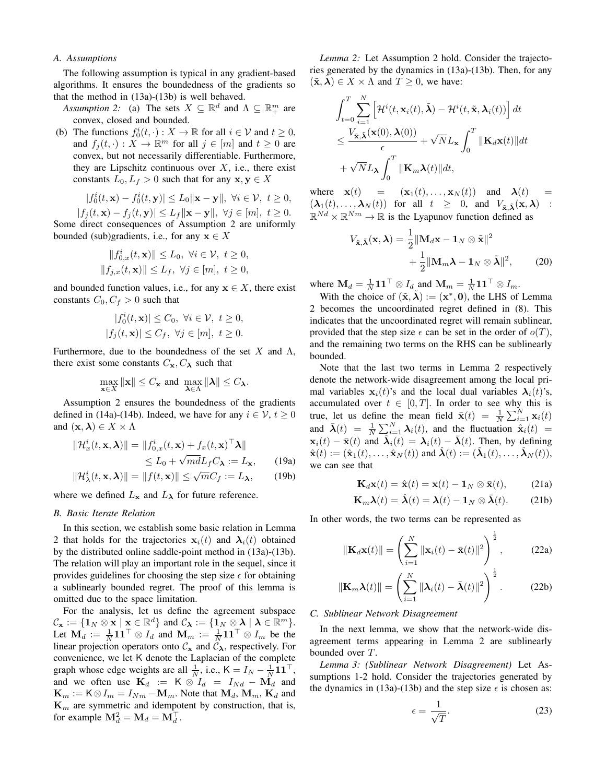#### *A. Assumptions*

The following assumption is typical in any gradient-based algorithms. It ensures the boundedness of the gradients so that the method in (13a)-(13b) is well behaved.

- *Assumption 2:* (a) The sets  $X \subseteq \mathbb{R}^d$  and  $\Lambda \subseteq \mathbb{R}^m_+$  are convex, closed and bounded.
- (b) The functions  $f_0^i(t, \cdot) : X \to \mathbb{R}$  for all  $i \in \mathcal{V}$  and  $t \ge 0$ , and  $f_j(t, \cdot) : X \to \mathbb{R}^m$  for all  $j \in [m]$  and  $t \ge 0$  are convex, but not necessarily differentiable. Furthermore, they are Lipschitz continuous over  $X$ , i.e., there exist constants  $L_0, L_f > 0$  such that for any  $x, y \in X$

$$
|f_0^i(t, \mathbf{x}) - f_0^i(t, \mathbf{y})| \le L_0 \|\mathbf{x} - \mathbf{y}\|, \ \forall i \in \mathcal{V}, \ t \ge 0,
$$

 $|f_i(t, \mathbf{x}) - f_i(t, \mathbf{y})| \leq L_f \|\mathbf{x} - \mathbf{y}\|, \ \forall j \in [m], \ t \geq 0.$ Some direct consequences of Assumption 2 are uniformly bounded (sub)gradients, i.e., for any  $x \in X$ 

$$
||f_{0,x}^i(t, \mathbf{x})|| \le L_0, \ \forall i \in \mathcal{V}, \ t \ge 0,
$$
  

$$
||f_{j,x}(t, \mathbf{x})|| \le L_f, \ \forall j \in [m], \ t \ge 0,
$$

and bounded function values, i.e., for any  $x \in X$ , there exist constants  $C_0, C_f > 0$  such that

$$
|f_0^i(t, \mathbf{x})| \le C_0, \ \forall i \in \mathcal{V}, \ t \ge 0,
$$
  

$$
|f_j(t, \mathbf{x})| \le C_f, \ \forall j \in [m], \ t \ge 0.
$$

Furthermore, due to the boundedness of the set X and  $\Lambda$ , there exist some constants  $C_{\mathbf{x}}$ ,  $C_{\lambda}$  such that

$$
\max_{\mathbf{x}\in X}\|\mathbf{x}\|\leq C_{\mathbf{x}}\text{ and }\max_{\pmb{\lambda}\in\Lambda}\|\pmb{\lambda}\|\leq C_{\pmb{\lambda}}.
$$

Assumption 2 ensures the boundedness of the gradients defined in (14a)-(14b). Indeed, we have for any  $i \in \mathcal{V}$ ,  $t \geq 0$ and  $(\mathbf{x}, \boldsymbol{\lambda}) \in X \times \Lambda$ 

$$
\|\mathcal{H}_x^i(t, \mathbf{x}, \boldsymbol{\lambda})\| = \|f_{0,x}^i(t, \mathbf{x}) + f_x(t, \mathbf{x})^\top \boldsymbol{\lambda}\|
$$
  
\n
$$
\leq L_0 + \sqrt{md}L_f C_\boldsymbol{\lambda} := L_\mathbf{x}, \qquad (19a)
$$

$$
\|\mathcal{H}_{\lambda}^{i}(t,\mathbf{x},\lambda)\| = \|f(t,\mathbf{x})\| \leq \sqrt{m}C_{f} := L_{\lambda}, \qquad (19b)
$$

where we defined  $L_x$  and  $L_\lambda$  for future reference.

#### *B. Basic Iterate Relation*

In this section, we establish some basic relation in Lemma 2 that holds for the trajectories  $x_i(t)$  and  $\lambda_i(t)$  obtained by the distributed online saddle-point method in (13a)-(13b). The relation will play an important role in the sequel, since it provides guidelines for choosing the step size  $\epsilon$  for obtaining a sublinearly bounded regret. The proof of this lemma is omitted due to the space limitation.

For the analysis, let us define the agreement subspace  $\mathcal{C}_{\mathbf{x}} := \{\mathbf{1}_N \otimes \mathbf{x} \mid \mathbf{x} \in \mathbb{R}^d\}$  and  $\mathcal{C}_{\boldsymbol{\lambda}} := \{\mathbf{1}_N \otimes \boldsymbol{\lambda} \mid \boldsymbol{\lambda} \in \mathbb{R}^m\}.$ Let  $M_d := \frac{1}{N} \mathbf{1} \mathbf{1}^\top \otimes I_d$  and  $M_m := \frac{1}{N} \mathbf{1} \mathbf{1}^\top \otimes I_m$  be the linear projection operators onto  $\mathcal{C}_{\mathbf{x}}$  and  $\tilde{\mathcal{C}}_{\lambda}$ , respectively. For convenience, we let K denote the Laplacian of the complete graph whose edge weights are all  $\frac{1}{N}$ , i.e.,  $K = I_N - \frac{1}{N} \mathbf{1} \mathbf{1}^\top$ , and we often use  $\mathbf{K}_d := \mathbf{K} \otimes I_d = I_{Nd} - \mathbf{M}_d$  and  $\mathbf{K}_m := \mathsf{K} \otimes I_m = I_{Nm} - \mathbf{M}_m$ . Note that  $\mathbf{M}_d$ ,  $\mathbf{M}_m$ ,  $\mathbf{K}_d$  and  $\mathbf{K}_m$  are symmetric and idempotent by construction, that is, for example  $\mathbf{M}_d^2 = \mathbf{M}_d = \mathbf{M}_d^{\top}$ .

*Lemma 2:* Let Assumption 2 hold. Consider the trajectories generated by the dynamics in (13a)-(13b). Then, for any  $(\tilde{\mathbf{x}}, \boldsymbol{\lambda}) \in X \times \Lambda$  and  $T \geq 0$ , we have:

$$
\int_{t=0}^{T} \sum_{i=1}^{N} \left[ \mathcal{H}^{i}(t, \mathbf{x}_{i}(t), \tilde{\boldsymbol{\lambda}}) - \mathcal{H}^{i}(t, \tilde{\mathbf{x}}, \boldsymbol{\lambda}_{i}(t)) \right] dt
$$
  

$$
\leq \frac{V_{\tilde{\mathbf{x}}, \tilde{\boldsymbol{\lambda}}}(\mathbf{x}(0), \boldsymbol{\lambda}(0))}{\epsilon} + \sqrt{N} L_{\mathbf{x}} \int_{0}^{T} ||\mathbf{K}_{d} \mathbf{x}(t)|| dt
$$
  

$$
+ \sqrt{N} L_{\boldsymbol{\lambda}} \int_{0}^{T} ||\mathbf{K}_{m} \boldsymbol{\lambda}(t)|| dt,
$$

where  $\mathbf{x}(t) = (\mathbf{x}_1(t), \dots, \mathbf{x}_N(t))$  and  $\lambda(t)$  $(\lambda_1(t), \dots, \lambda_N(t))$  for all  $t \geq 0$ , and  $V_{\tilde{\mathbf{x}}, \tilde{\mathbf{\lambda}}}(\mathbf{x}, \lambda)$ :  $\mathbb{R}^{Nd} \times \mathbb{R}^{Nm} \to \mathbb{R}$  is the Lyapunov function defined as

$$
V_{\tilde{\mathbf{x}}, \tilde{\boldsymbol{\lambda}}}(\mathbf{x}, \boldsymbol{\lambda}) = \frac{1}{2} ||\mathbf{M}_d \mathbf{x} - \mathbf{1}_N \otimes \tilde{\mathbf{x}}||^2
$$
  
+ 
$$
\frac{1}{2} ||\mathbf{M}_m \boldsymbol{\lambda} - \mathbf{1}_N \otimes \tilde{\boldsymbol{\lambda}}||^2, \qquad (20)
$$

where  $\mathbf{M}_d = \frac{1}{N} \mathbf{1} \mathbf{1}^\top \otimes I_d$  and  $\mathbf{M}_m = \frac{1}{N} \mathbf{1} \mathbf{1}^\top \otimes I_m$ .

With the choice of  $(\tilde{\mathbf{x}}, \tilde{\boldsymbol{\lambda}}) := (\mathbf{x}^*, \mathbf{0}),$  the LHS of Lemma 2 becomes the uncoordinated regret defined in (8). This indicates that the uncoordinated regret will remain sublinear, provided that the step size  $\epsilon$  can be set in the order of  $o(T)$ , and the remaining two terms on the RHS can be sublinearly bounded.

Note that the last two terms in Lemma 2 respectively denote the network-wide disagreement among the local primal variables  $x_i(t)$ 's and the local dual variables  $\lambda_i(t)$ 's, accumulated over  $t \in [0, T]$ . In order to see why this is true, let us define the mean field  $\bar{\mathbf{x}}(t) = \frac{1}{N} \sum_{i=1}^{N} \mathbf{x}_i(t)$ and  $\bar{\boldsymbol{\lambda}}(t) = \frac{1}{N} \sum_{i=1}^{N} \boldsymbol{\lambda}_i(t)$ , and the fluctuation  $\hat{\mathbf{x}}_i(t) =$  $\mathbf{x}_i(t) - \bar{\mathbf{x}}(t)$  and  $\hat{\lambda}_i(t) = \lambda_i(t) - \bar{\lambda}(t)$ . Then, by defining  $\hat{\mathbf{x}}(t) := (\hat{\mathbf{x}}_1(t), \dots, \hat{\mathbf{x}}_N(t))$  and  $\hat{\boldsymbol{\lambda}}(t) := (\hat{\boldsymbol{\lambda}}_1(t), \dots, \hat{\boldsymbol{\lambda}}_N(t)),$ we can see that

$$
\mathbf{K}_d \mathbf{x}(t) = \hat{\mathbf{x}}(t) = \mathbf{x}(t) - \mathbf{1}_N \otimes \bar{\mathbf{x}}(t), \quad (21a)
$$

$$
\mathbf{K}_m \boldsymbol{\lambda}(t) = \hat{\boldsymbol{\lambda}}(t) = \boldsymbol{\lambda}(t) - \mathbf{1}_N \otimes \bar{\boldsymbol{\lambda}}(t). \tag{21b}
$$

In other words, the two terms can be represented as

$$
\|\mathbf{K}_d\mathbf{x}(t)\| = \left(\sum_{i=1}^N \|\mathbf{x}_i(t) - \bar{\mathbf{x}}(t)\|^2\right)^{\frac{1}{2}},\tag{22a}
$$

$$
\|\mathbf{K}_m\boldsymbol{\lambda}(t)\| = \left(\sum_{i=1}^N \|\boldsymbol{\lambda}_i(t) - \bar{\boldsymbol{\lambda}}(t)\|^2\right)^{\frac{1}{2}}.\tag{22b}
$$

### *C. Sublinear Network Disagreement*

In the next lemma, we show that the network-wide disagreement terms appearing in Lemma 2 are sublinearly bounded over T.

*Lemma 3: (Sublinear Network Disagreement)* Let Assumptions 1-2 hold. Consider the trajectories generated by the dynamics in (13a)-(13b) and the step size  $\epsilon$  is chosen as:

$$
\epsilon = \frac{1}{\sqrt{T}}.\tag{23}
$$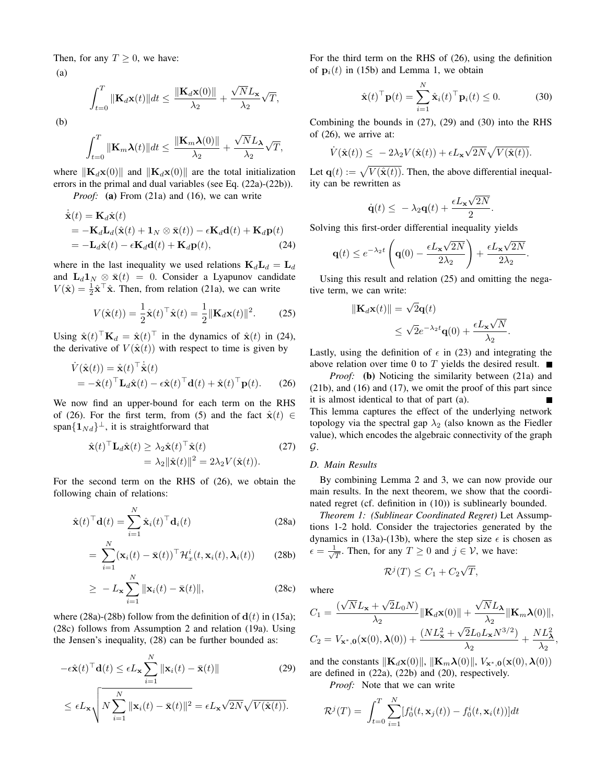Then, for any  $T \geq 0$ , we have:

(a)

$$
\int_{t=0}^{T} \|\mathbf{K}_{d}\mathbf{x}(t)\|dt \leq \frac{\|\mathbf{K}_{d}\mathbf{x}(0)\|}{\lambda_{2}} + \frac{\sqrt{N}L_{\mathbf{x}}}{\lambda_{2}}\sqrt{T},
$$

(b)

$$
\int_{t=0}^{T} \|\mathbf{K}_{m}\boldsymbol{\lambda}(t)\|dt \leq \frac{\|\mathbf{K}_{m}\boldsymbol{\lambda}(0)\|}{\lambda_{2}} + \frac{\sqrt{N}L_{\boldsymbol{\lambda}}}{\lambda_{2}}\sqrt{T},
$$

where  $\|\mathbf{K}_d\mathbf{x}(0)\|$  and  $\|\mathbf{K}_d\mathbf{x}(0)\|$  are the total initialization errors in the primal and dual variables (see Eq. (22a)-(22b)).

*Proof:* (a) From (21a) and (16), we can write

$$
\dot{\hat{\mathbf{x}}}(t) = \mathbf{K}_d \dot{\mathbf{x}}(t) \n= -\mathbf{K}_d \mathbf{L}_d (\hat{\mathbf{x}}(t) + \mathbf{1}_N \otimes \bar{\mathbf{x}}(t)) - \epsilon \mathbf{K}_d \mathbf{d}(t) + \mathbf{K}_d \mathbf{p}(t) \n= -\mathbf{L}_d \hat{\mathbf{x}}(t) - \epsilon \mathbf{K}_d \mathbf{d}(t) + \mathbf{K}_d \mathbf{p}(t),
$$
\n(24)

where in the last inequality we used relations  $\mathbf{K}_d \mathbf{L}_d = \mathbf{L}_d$ and  $\mathbf{L}_d \mathbf{1}_N \otimes \bar{\mathbf{x}}(t) = 0$ . Consider a Lyapunov candidate  $V(\hat{\mathbf{x}}) = \frac{1}{2}\hat{\mathbf{x}}^{\top}\hat{\mathbf{x}}$ . Then, from relation (21a), we can write

$$
V(\hat{\mathbf{x}}(t)) = \frac{1}{2}\hat{\mathbf{x}}(t)^{\top}\hat{\mathbf{x}}(t) = \frac{1}{2}||\mathbf{K}_d\mathbf{x}(t)||^2.
$$
 (25)

Using  $\hat{\mathbf{x}}(t)^\top \mathbf{K}_d = \hat{\mathbf{x}}(t)^\top$  in the dynamics of  $\hat{\mathbf{x}}(t)$  in (24), the derivative of  $V(\hat{\mathbf{x}}(t))$  with respect to time is given by

$$
\dot{V}(\hat{\mathbf{x}}(t)) = \hat{\mathbf{x}}(t)^{\top} \dot{\hat{\mathbf{x}}}(t) \n= -\hat{\mathbf{x}}(t)^{\top} \mathbf{L}_d \hat{\mathbf{x}}(t) - \epsilon \hat{\mathbf{x}}(t)^{\top} \mathbf{d}(t) + \hat{\mathbf{x}}(t)^{\top} \mathbf{p}(t).
$$
\n(26)

We now find an upper-bound for each term on the RHS of (26). For the first term, from (5) and the fact  $\hat{\mathbf{x}}(t) \in$ span $\{1_{Nd}\}^{\perp}$ , it is straightforward that

$$
\hat{\mathbf{x}}(t)^{\top} \mathbf{L}_d \hat{\mathbf{x}}(t) \ge \lambda_2 \hat{\mathbf{x}}(t)^{\top} \hat{\mathbf{x}}(t) \n= \lambda_2 ||\hat{\mathbf{x}}(t)||^2 = 2\lambda_2 V(\hat{\mathbf{x}}(t)).
$$
\n(27)

For the second term on the RHS of (26), we obtain the following chain of relations:

$$
\hat{\mathbf{x}}(t)^{\top} \mathbf{d}(t) = \sum_{i=1}^{N} \hat{\mathbf{x}}_i(t)^{\top} \mathbf{d}_i(t)
$$
\n(28a)

$$
= \sum_{i=1}^{N} (\mathbf{x}_i(t) - \bar{\mathbf{x}}(t))^{\top} \mathcal{H}_x^i(t, \mathbf{x}_i(t), \lambda_i(t)) \qquad (28b)
$$

$$
\geq -L_{\mathbf{x}} \sum_{i=1}^{N} \|\mathbf{x}_i(t) - \bar{\mathbf{x}}(t)\|,
$$
\n(28c)

where (28a)-(28b) follow from the definition of  $d(t)$  in (15a); (28c) follows from Assumption 2 and relation (19a). Using the Jensen's inequality, (28) can be further bounded as:

$$
-\epsilon \hat{\mathbf{x}}(t)^{\top} \mathbf{d}(t) \le \epsilon L_{\mathbf{x}} \sum_{i=1}^{N} \|\mathbf{x}_i(t) - \bar{\mathbf{x}}(t)\|
$$
 (29)

$$
\leq \epsilon L_{\mathbf{x}} \sqrt{N \sum_{i=1}^{N} \|\mathbf{x}_i(t) - \bar{\mathbf{x}}(t)\|^2} = \epsilon L_{\mathbf{x}} \sqrt{2N} \sqrt{V(\hat{\mathbf{x}}(t))}.
$$

For the third term on the RHS of (26), using the definition of  $\mathbf{p}_i(t)$  in (15b) and Lemma 1, we obtain

$$
\hat{\mathbf{x}}(t)^{\top} \mathbf{p}(t) = \sum_{i=1}^{N} \hat{\mathbf{x}}_i(t)^{\top} \mathbf{p}_i(t) \le 0.
$$
 (30)

Combining the bounds in (27), (29) and (30) into the RHS of (26), we arrive at:

$$
\dot{V}(\hat{\mathbf{x}}(t)) \leq -2\lambda_2 V(\hat{\mathbf{x}}(t)) + \epsilon L_{\mathbf{x}} \sqrt{2N} \sqrt{V(\hat{\mathbf{x}}(t))}.
$$

Let  $\mathbf{q}(t) := \sqrt{V(\hat{\mathbf{x}}(t))}$ . Then, the above differential inequality can be rewritten as

$$
\dot{\mathbf{q}}(t) \leq -\lambda_2 \mathbf{q}(t) + \frac{\epsilon L_{\mathbf{x}} \sqrt{2N}}{2}.
$$

Solving this first-order differential inequality yields

$$
\mathbf{q}(t) \le e^{-\lambda_2 t} \left( \mathbf{q}(0) - \frac{\epsilon L_{\mathbf{x}} \sqrt{2N}}{2\lambda_2} \right) + \frac{\epsilon L_{\mathbf{x}} \sqrt{2N}}{2\lambda_2}.
$$

Using this result and relation (25) and omitting the negative term, we can write:

$$
\begin{aligned} \|\mathbf{K}_d \mathbf{x}(t)\| &= \sqrt{2}\mathbf{q}(t) \\ &\leq \sqrt{2}e^{-\lambda_2 t}\mathbf{q}(0) + \frac{\epsilon L_{\mathbf{x}}\sqrt{N}}{\lambda_2}. \end{aligned}
$$

Lastly, using the definition of  $\epsilon$  in (23) and integrating the above relation over time 0 to T yields the desired result.  $\blacksquare$ 

*Proof:* (b) Noticing the similarity between (21a) and (21b), and (16) and (17), we omit the proof of this part since it is almost identical to that of part (a). This lemma captures the effect of the underlying network topology via the spectral gap  $\lambda_2$  (also known as the Fiedler value), which encodes the algebraic connectivity of the graph  $\mathcal{G}$ .

#### *D. Main Results*

By combining Lemma 2 and 3, we can now provide our main results. In the next theorem, we show that the coordinated regret (cf. definition in (10)) is sublinearly bounded.

*Theorem 1: (Sublinear Coordinated Regret)* Let Assumptions 1-2 hold. Consider the trajectories generated by the dynamics in (13a)-(13b), where the step size  $\epsilon$  is chosen as  $\epsilon = \frac{1}{\sqrt{2}}$  $\frac{1}{T}$ . Then, for any  $T \ge 0$  and  $j \in \mathcal{V}$ , we have:

$$
\mathcal{R}^j(T) \leq C_1 + C_2 \sqrt{T},
$$

where

$$
C_1 = \frac{(\sqrt{N}L_{\mathbf{x}} + \sqrt{2}L_0N)}{\lambda_2} \|\mathbf{K}_d\mathbf{x}(0)\| + \frac{\sqrt{N}L_{\mathbf{\lambda}}}{\lambda_2} \|\mathbf{K}_m\mathbf{\lambda}(0)\|,
$$
  

$$
C_2 = V_{\mathbf{x}^*,0}(\mathbf{x}(0),\mathbf{\lambda}(0)) + \frac{(NL_{\mathbf{x}}^2 + \sqrt{2}L_0L_{\mathbf{x}}N^{3/2})}{\lambda_2} + \frac{NL_{\mathbf{\lambda}}^2}{\lambda_2}
$$

,

and the constants  $\|\mathbf{K}_d\mathbf{x}(0)\|$ ,  $\|\mathbf{K}_m\boldsymbol{\lambda}(0)\|$ ,  $V_{\mathbf{x}^*,\mathbf{0}}(\mathbf{x}(0),\boldsymbol{\lambda}(0))$ are defined in (22a), (22b) and (20), respectively.

*Proof:* Note that we can write

$$
\mathcal{R}^j(T) = \int_{t=0}^T \sum_{i=1}^N [f_0^i(t, \mathbf{x}_j(t)) - f_0^i(t, \mathbf{x}_i(t))]dt
$$